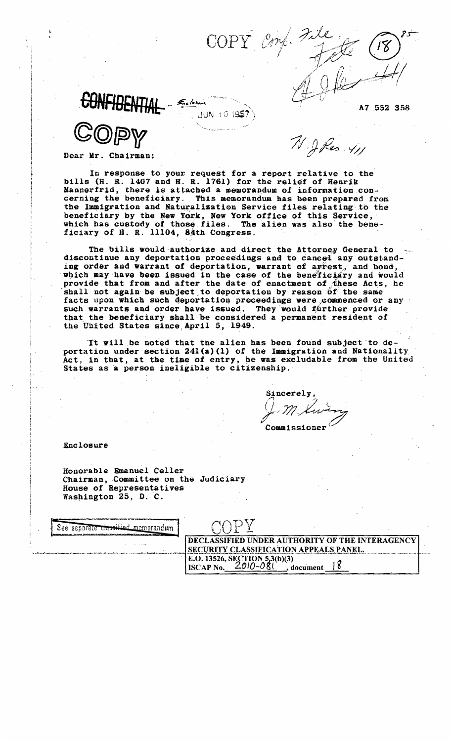JUN 10195

Dear Mr. Chairman:

In response to your request for a report relative to the bills (H. R. 1407 and H. R. 1761) for the relief of Henrik Mannerfrid, there is attached a memorandum of information concerning the beneficiary. This memorandum has been prepared from the Immigration and Naturalization Service files relating to the beneficiary by the New York, New York office of this Service, which has custody of those files. The alien was also the beneficiary of H. R. 11104, 84th Congress.

COPY Enf

The bills would authorize and direct the Attorney General to discontinue any deportation proceedings and to cancel any outstanding order and warrant of deportation, warrant of agrest, and bond, which may have been issued in the case of the beneficiary and would provide that from and after the date of enactment of these Acts, he shall not again be subject to deportation by reason of the same facts upon which such deportation proceedings were commenced or any such warrants and order have issued. They would further provide. that the beneficiary shall be considered a permanent resident of the United States since April 5, 1949.

It will be noted that the alien has been found subject to deportation under section  $241(a)(1)$  of the Immigration and Nationality Act, in that, at the time of entry, he was excludable from the United States as a person ineligible to citizenship.

Sincerely Commissioner

A7 552 358

 $\mathcal{N}$  . I Res.  $\mathcal{V}_{\mathcal{U}}$ 

Enclosure

Honorable Emanuel Celler Chairman, Committee on the Judiciary House of Representatives Washington 25, D. C.

| See separate classified mem.<br>orandum<br>a mieru i zastrzu izrakantoni i nabidi izraka izrak nasadne izrakima di irri o se an ma paramoj pro |                                                                                           |  |
|------------------------------------------------------------------------------------------------------------------------------------------------|-------------------------------------------------------------------------------------------|--|
| .                                                                                                                                              | DECLASSIFIED UNDER AUTHORITY OF THE INTERAGENCY<br>SECURITY CLASSIFICATION APPEALS PANEL. |  |
|                                                                                                                                                | E.O. 13526, SECTION 5,3(b)(3)<br><b>ISCAP No.</b><br>document                             |  |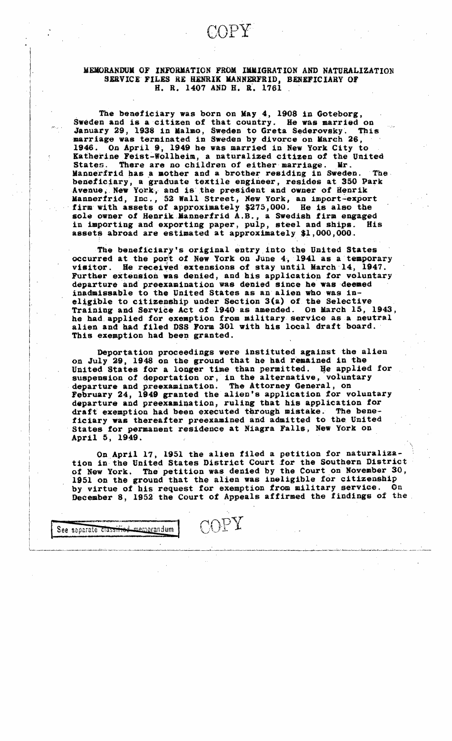# MEMORANDUM OF INFORMATION FROM IMMIGRATION AND NATURALIZATION SERVICE FILES RE HENRIK MANNERFRID, BENEFICIARY OF H. R. 1407 AND H. R. 1761 .

The beneficiary was born on May 4, 1908 in Goteborg, Sweden and is a citizen of that country. He was married on January 29, 1938 in Malmo, Sweden to Greta Sederovsky. This marriage was terminated in Sweden by divorce on March 26, 1946. On April 9, 1949 he was married in New York City to Katherine Feist-Wollheim, a naturalized citizen of the United There are no children of either marriage. Mr. Mannerfrid has a mother and a brother residing in Sweden. The beneficiary, a graduate textile engineer, resides at 350 Park Avenue, New York, and is the president and owner of Henrik Mannerfrid, Inc., 52 Wall Street, Hew York, an 1mport~export firm with assets of approximately \$275,000. He is also the sole owner of Henrik Mannerfrid A.B., a Swedish firm engaged in importing and exporting paper, pulp, steel and ships. His assets abroad are estimated at approximately \$1,000,000.

The beneficiary's original entry, into the United States occurred at the port of New York on June 4, 1941 as a temporary visitor. He received extensions of stay until March 14, 1947. Further extension was denied, and his application for voluntary departure and preexamination was denied since he was deemed inadmissable to the United States as an alien who was in eligible to citizenship under Section  $3(a)$  of the Selective Training and Service Act of 1940 as amended. On March 15, 1943, he had applied for exemption from military service as a neutral alien and had filed DSS Form 301 with his local draft board. This exemption had been granted.

given the control of the control of the con-

Deportation proceedings were instituted against the alien on July 29, 1948 on the ground that he had remained in the United States for a longer time than permitted. He applied for suspension of deportation or, in the alternative, voluntary departure and preexamination. The Attorney General, on February 24, 1949 granted the alien's application for voluntary departure and preexamination, ruling that his application for draft exemption had been executed through mistake. The beneficiary was thereafter preexamined and admitted to the United States for permanent residence at Niagra Falls, New York On April 5, 1949.

On April 17, 1951 the alien filed a petition for naturalization in the United States District Court for the Southern District of New York. The petition was denied by the Court on November 30, 1951 on the ground that the alien was ineligible for citizenship by virtue of his request for exemption from military service. On December 8, 1952 tbe Court of Appeals affirmed the findings *ot* the,

COPY

See separate classified memorandum

 $\vert$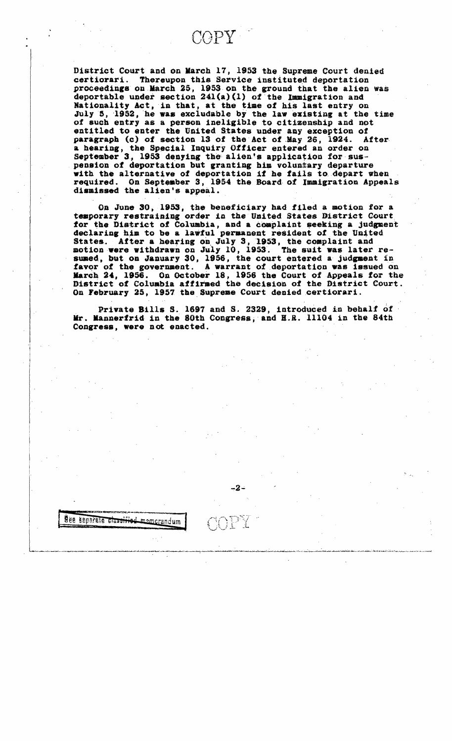COPY

District Court and on March 17, 1953 the Supreme Court denied Thereupon this Service instituted deportation certiorari. proceedings on March 25, 1953 on the ground that the alien was deportable under section 241(a)(1) of the Immigration and Nationality Act, in that, at the time of his last entry on July 5, 1952, he was excludable by the law existing at the time of such entry as a person ineligible to citizenship and not entitled to enter the United States under any exception of paragraph (c) of section 13 of the Act of May 26, 1924. After a hearing, the Special Inquiry Officer entered an order on September 3, 1953 denying the alien's application for suspension of deportation but granting him voluntary departure with the alternative of deportation if he fails to depart when required. On September 3, 1954 the Board of Immigration Appeals dismissed the alien's appeal.

On June 30, 1953, the beneficiary had filed a motion for a temporary restraining order in the United States District Court for the District of Columbia, and a complaint seeking a judgment declaring him to be a lawful permanent resident of the United States. After a hearing on July 3, 1953, the complaint and motion were withdrawn on July 10, 1953. The suit was later resumed, but on January 30, 1956, the court entered a judgment in favor of the government. A warrant of deportation was issued on March 24, 1956. On October 18, 1956 the Court of Appeals for the District of Columbia affirmed the decision of the District Court. On February 25, 1957 the Supreme Court denied certiorari.

Private Bills S. 1697 and S. 2329, introduced in behalf of Mr. Mannerfrid in the 80th Congress, and H.R. 11104 in the 84th Congress, were not enacted.

-2∸

See separate classified

memorandum